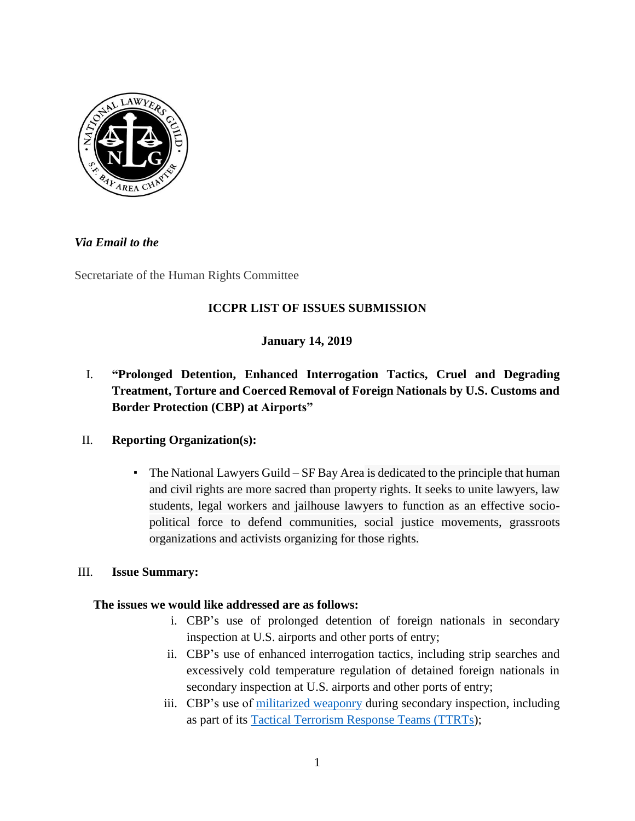

# *Via Email to the*

Secretariate of the Human Rights Committee

# **ICCPR LIST OF ISSUES SUBMISSION**

# **January 14, 2019**

# I. **"Prolonged Detention, Enhanced Interrogation Tactics, Cruel and Degrading Treatment, Torture and Coerced Removal of Foreign Nationals by U.S. Customs and Border Protection (CBP) at Airports"**

# II. **Reporting Organization(s):**

The National Lawyers Guild –  $SF$  Bay Area is dedicated to the principle that human and civil rights are more sacred than property rights. It seeks to unite lawyers, law students, legal workers and jailhouse lawyers to function as an effective sociopolitical force to defend communities, social justice movements, grassroots organizations and activists organizing for those rights.

# III. **Issue Summary:**

# **The issues we would like addressed are as follows:**

- i. CBP's use of prolonged detention of foreign nationals in secondary inspection at U.S. airports and other ports of entry;
- ii. CBP's use of enhanced interrogation tactics, including strip searches and excessively cold temperature regulation of detained foreign nationals in secondary inspection at U.S. airports and other ports of entry;
- iii. CBP's use of [militarized weaponry](https://legacy.tyt.com/2018/07/03/ice-training-officers-in-military-grade-weapons-chemical-agents/) during secondary inspection, including as part of its [Tactical Terrorism Response Teams \(TTRTs\)](https://www.dhs.gov/news/2017/05/03/written-testimony-cbp-ice-plcy-house-committee-homeland-security-task-force-denying);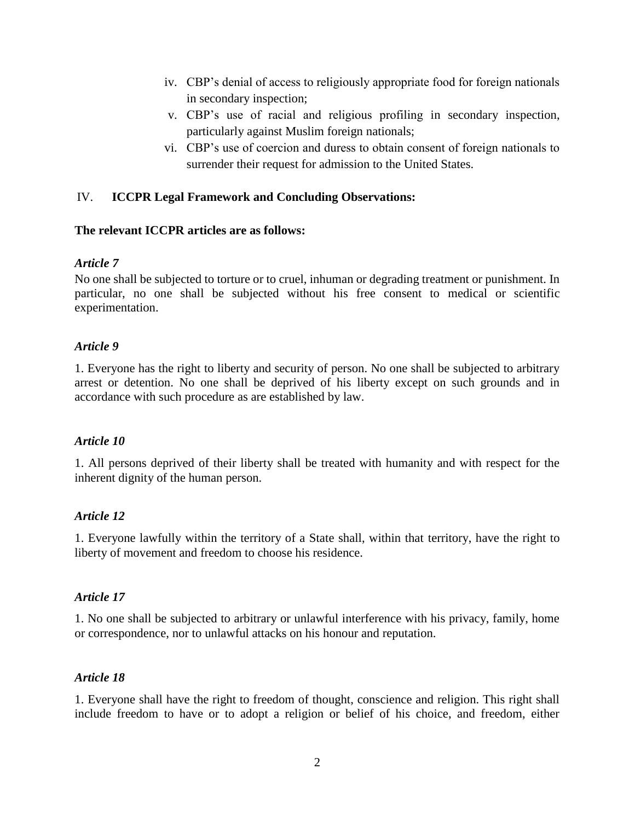- iv. CBP's denial of access to religiously appropriate food for foreign nationals in secondary inspection;
- v. CBP's use of racial and religious profiling in secondary inspection, particularly against Muslim foreign nationals;
- vi. CBP's use of coercion and duress to obtain consent of foreign nationals to surrender their request for admission to the United States.

### IV. **ICCPR Legal Framework and Concluding Observations:**

#### **The relevant ICCPR articles are as follows:**

#### *Article 7*

No one shall be subjected to torture or to cruel, inhuman or degrading treatment or punishment. In particular, no one shall be subjected without his free consent to medical or scientific experimentation.

#### *Article 9*

1. Everyone has the right to liberty and security of person. No one shall be subjected to arbitrary arrest or detention. No one shall be deprived of his liberty except on such grounds and in accordance with such procedure as are established by law.

#### *Article 10*

1. All persons deprived of their liberty shall be treated with humanity and with respect for the inherent dignity of the human person.

#### *Article 12*

1. Everyone lawfully within the territory of a State shall, within that territory, have the right to liberty of movement and freedom to choose his residence.

#### *Article 17*

1. No one shall be subjected to arbitrary or unlawful interference with his privacy, family, home or correspondence, nor to unlawful attacks on his honour and reputation.

#### *Article 18*

1. Everyone shall have the right to freedom of thought, conscience and religion. This right shall include freedom to have or to adopt a religion or belief of his choice, and freedom, either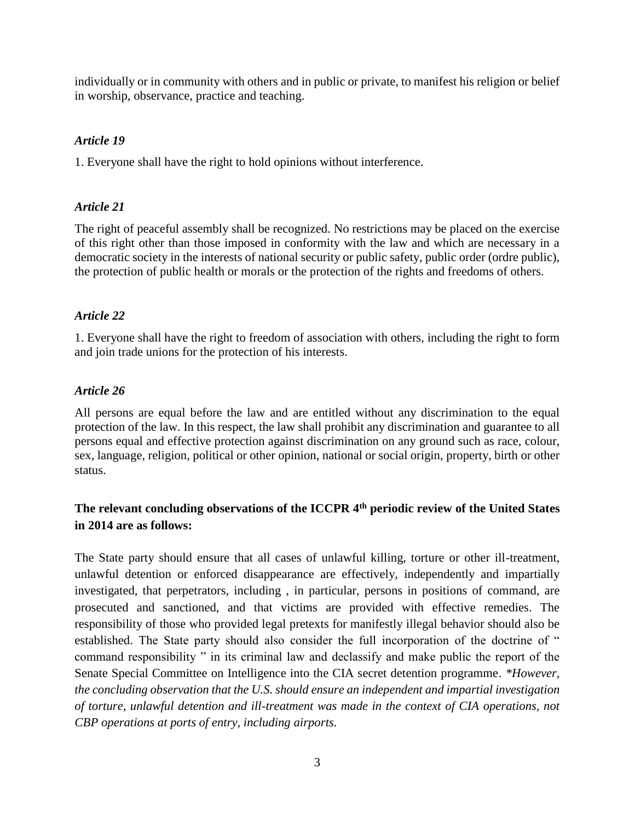individually or in community with others and in public or private, to manifest his religion or belief in worship, observance, practice and teaching.

### *Article 19*

1. Everyone shall have the right to hold opinions without interference.

### *Article 21*

The right of peaceful assembly shall be recognized. No restrictions may be placed on the exercise of this right other than those imposed in conformity with the law and which are necessary in a democratic society in the interests of national security or public safety, public order (ordre public), the protection of public health or morals or the protection of the rights and freedoms of others.

### *Article 22*

1. Everyone shall have the right to freedom of association with others, including the right to form and join trade unions for the protection of his interests.

### *Article 26*

All persons are equal before the law and are entitled without any discrimination to the equal protection of the law. In this respect, the law shall prohibit any discrimination and guarantee to all persons equal and effective protection against discrimination on any ground such as race, colour, sex, language, religion, political or other opinion, national or social origin, property, birth or other status.

# **The relevant concluding observations of the ICCPR 4th periodic review of the United States in 2014 are as follows:**

The State party should ensure that all cases of unlawful killing, torture or other ill-treatment, unlawful detention or enforced disappearance are effectively, independently and impartially investigated, that perpetrators, including , in particular, persons in positions of command, are prosecuted and sanctioned, and that victims are provided with effective remedies. The responsibility of those who provided legal pretexts for manifestly illegal behavior should also be established. The State party should also consider the full incorporation of the doctrine of " command responsibility " in its criminal law and declassify and make public the report of the Senate Special Committee on Intelligence into the CIA secret detention programme. *\*However, the concluding observation that the U.S. should ensure an independent and impartial investigation of torture, unlawful detention and ill-treatment was made in the context of CIA operations, not CBP operations at ports of entry, including airports.*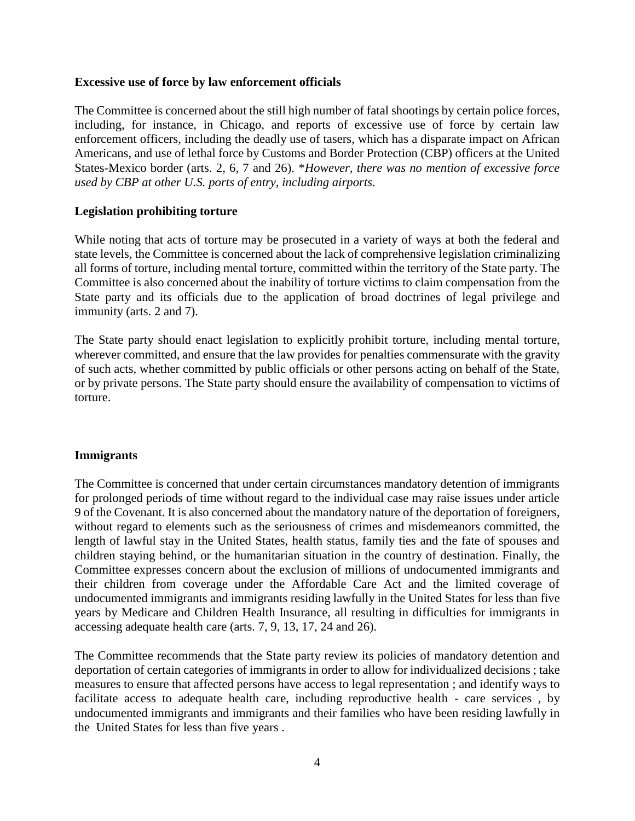#### **Excessive use of force by law enforcement officials**

The Committee is concerned about the still high number of fatal shootings by certain police forces, including, for instance, in Chicago, and reports of excessive use of force by certain law enforcement officers, including the deadly use of tasers, which has a disparate impact on African Americans, and use of lethal force by Customs and Border Protection (CBP) officers at the United States-Mexico border (arts. 2, 6, 7 and 26). \**However, there was no mention of excessive force used by CBP at other U.S. ports of entry, including airports.* 

#### **Legislation prohibiting torture**

While noting that acts of torture may be prosecuted in a variety of ways at both the federal and state levels, the Committee is concerned about the lack of comprehensive legislation criminalizing all forms of torture, including mental torture, committed within the territory of the State party. The Committee is also concerned about the inability of torture victims to claim compensation from the State party and its officials due to the application of broad doctrines of legal privilege and immunity (arts. 2 and 7).

The State party should enact legislation to explicitly prohibit torture, including mental torture, wherever committed, and ensure that the law provides for penalties commensurate with the gravity of such acts, whether committed by public officials or other persons acting on behalf of the State, or by private persons. The State party should ensure the availability of compensation to victims of torture.

#### **Immigrants**

The Committee is concerned that under certain circumstances mandatory detention of immigrants for prolonged periods of time without regard to the individual case may raise issues under article 9 of the Covenant. It is also concerned about the mandatory nature of the deportation of foreigners, without regard to elements such as the seriousness of crimes and misdemeanors committed, the length of lawful stay in the United States, health status, family ties and the fate of spouses and children staying behind, or the humanitarian situation in the country of destination. Finally, the Committee expresses concern about the exclusion of millions of undocumented immigrants and their children from coverage under the Affordable Care Act and the limited coverage of undocumented immigrants and immigrants residing lawfully in the United States for less than five years by Medicare and Children Health Insurance, all resulting in difficulties for immigrants in accessing adequate health care (arts. 7, 9, 13, 17, 24 and 26).

The Committee recommends that the State party review its policies of mandatory detention and deportation of certain categories of immigrants in order to allow for individualized decisions ; take measures to ensure that affected persons have access to legal representation ; and identify ways to facilitate access to adequate health care, including reproductive health - care services , by undocumented immigrants and immigrants and their families who have been residing lawfully in the United States for less than five years .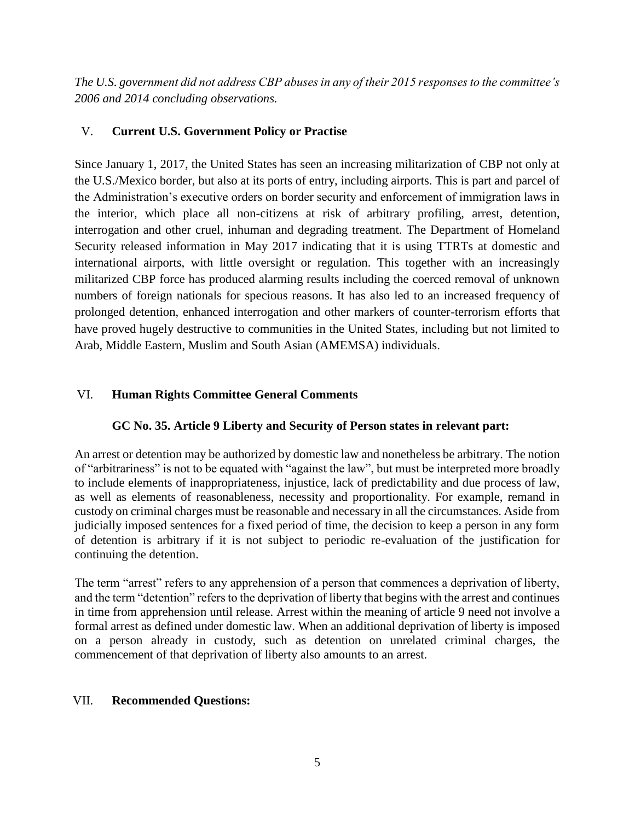*The U.S. government did not address CBP abuses in any of their 2015 responses to the committee's 2006 and 2014 concluding observations.* 

# V. **Current U.S. Government Policy or Practise**

Since January 1, 2017, the United States has seen an increasing militarization of CBP not only at the U.S./Mexico border, but also at its ports of entry, including airports. This is part and parcel of the Administration's executive orders on border security and enforcement of immigration laws in the interior, which place all non-citizens at risk of arbitrary profiling, arrest, detention, interrogation and other cruel, inhuman and degrading treatment. The Department of Homeland Security released information in May 2017 indicating that it is using TTRTs at domestic and international airports, with little oversight or regulation. This together with an increasingly militarized CBP force has produced alarming results including the coerced removal of unknown numbers of foreign nationals for specious reasons. It has also led to an increased frequency of prolonged detention, enhanced interrogation and other markers of counter-terrorism efforts that have proved hugely destructive to communities in the United States, including but not limited to Arab, Middle Eastern, Muslim and South Asian (AMEMSA) individuals.

# VI. **Human Rights Committee General Comments**

# **GC No. 35. Article 9 Liberty and Security of Person states in relevant part:**

An arrest or detention may be authorized by domestic law and nonetheless be arbitrary. The notion of "arbitrariness" is not to be equated with "against the law", but must be interpreted more broadly to include elements of inappropriateness, injustice, lack of predictability and due process of law, as well as elements of reasonableness, necessity and proportionality. For example, remand in custody on criminal charges must be reasonable and necessary in all the circumstances. Aside from judicially imposed sentences for a fixed period of time, the decision to keep a person in any form of detention is arbitrary if it is not subject to periodic re-evaluation of the justification for continuing the detention.

The term "arrest" refers to any apprehension of a person that commences a deprivation of liberty, and the term "detention" refers to the deprivation of liberty that begins with the arrest and continues in time from apprehension until release. Arrest within the meaning of article 9 need not involve a formal arrest as defined under domestic law. When an additional deprivation of liberty is imposed on a person already in custody, such as detention on unrelated criminal charges, the commencement of that deprivation of liberty also amounts to an arrest.

# VII. **Recommended Questions:**